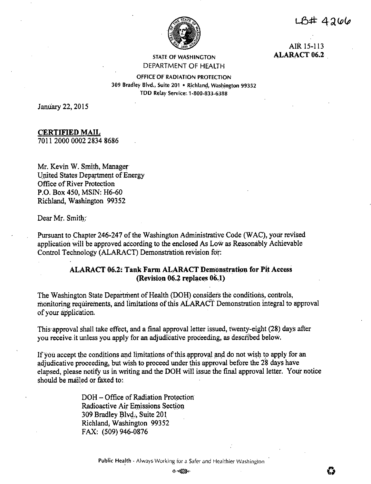$L5444266$ 



AIR 15-113 **ALARACT 06.2** 

### STATE OF WASHINGTON DEPARTMENT OF HEALTH

OFFICE'OF RADIATION PROTECTION 309 Bradley Blvd., Suite 201 • Richland, Washington 99352 TOO Relay Service: 1-800-833-6388

January 22, 2015

**CERTIFIED MAIL**  701 I 2000 0002 2834 8686

Mr. Kevin W. Smith, Manager United States Department of Energy Office of River Protection P.O. Box 450, MSIN: H6-60 Richland, Washington 99352

Dear Mr. Smith:

Pursuant to Chapter 246°247 of the Washington Administrative Code (WAC), your revised application will be approved according to the enclosed As Low as Reasonably Achievable Control Technology (ALARACT) Demonstration revision for:

# **ALARACT 06.2: Tank Farm ALARACT Demonstration for Pit Access**  $($ Revision  $06.2$  replaces  $06.1)$

The Washington State Department of Health (DOH) considers the conditions, controls, monitoring requirements, and limitations of this ALARACT Demonstration integral to approval of your application.

This approval shall take effect, and a final approval letter issued, twenty-eight (28) days after you receive it unless you apply for an. adjudicative proceeding, as descnbed below.

If you accept the conditions and limitations of this approval and do not wish to apply for an adjudicative proceeding, but wish to proceed under this approval before the 28 days have elapsed, please notify us in writing and the DOH will issue the final approval letter. Your notice should be mailed or faxed to:

> DOH- Office of Radiation Protection Radioactive Air Emissions Section 309 Bradley Blvd., Suite 201 Richland; Washington 993 52 FAX: (509) 946-0876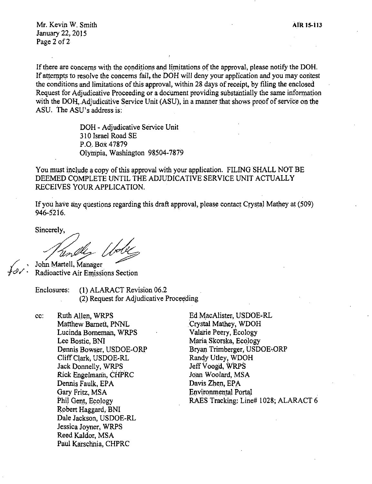Mr. Kevin W. Smith January 22, 2015 Page 2 of 2

If there are concerns with the conditions and limitations of the approval, please notify the DOH. If attempts to resolve the concerns fail, the DOH will deny your application and you may contest the conditions and limitations of this approval, within 28 days of receipt, by filing the enclosed Request for Adjudicative Proceeding or a document providing substantially the same information with the DOH, Adjudicative Service Unit (ASU), in a manner that shows proof of service on the ASU. The ASU's address is:

> DOH - Adjudicative Service Unit 310 Israel Road SE P.O. Box 47879 Olympia, Washington 98504-7879

You must include a copy of this approval with your application. FILING SHALL NOT BE DEEMED COMPLETE UNTIL THE ADJUDICATIVE SERVICE UNIT ACTUALLY RECEIVES YOUR APPLICATION.

If you have any questions regarding this draft approval, please contact Crystal Mathey at (509) 1. you have any questions regarding and article app.

Sincerely,<br>Mallen //dec/ John Martell, Manager<br>Radioactive Air Emissions Section

John Martell, Manager

Enclosures: (I) ALARACT Revision 06.2 (2) Request for Adjudicative Proceeding

cc: Ruth Allen, WRPS Matthew Barnett, PNNL Lucinda Borneman, WRPS Lee Bostic, BNI Dennis Bowser, USDOE-ORP Cliff Clark, USDOE-RL Jack Donnelly, WRPS Rick Engelmann, CHPRC Dennis Faulk, EPA Gary Fritz, MSA Phii Gent, Ecology Robert Haggard, BNI Dale Jackson, USDOE-RL Jessica Joyner, WRPS Reed Kaldor, MSA Paul Karschnia, CHPRC

Ed.MacAlister, USDOE-RL Crystal Mathey, WDOH Valarie Peery, Ecology Maria Skorska, Ecology Bryan Trimberger, USDOE-ORP Randy Utley, WDOH Jeff Voogd, WRPS Joan Woolard, MSA Davis Zhen, EPA Environmental Portal RAES Tracking: Line# 1028; ALARACT 6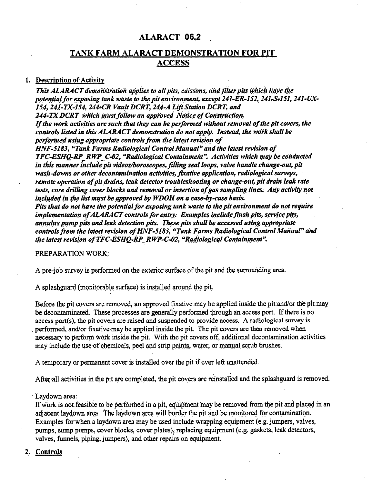# **ALARACT 06.2**

# **TANK FARM ALARACT DEMONSTRATION FOR PIT ACCESS**

#### 1. **Description of Activity**

*This ALARACT demonstration applies to all pits, caissons, and filter pits which have the* potential for exposing tank waste to the pit environment, except 241-ER-152, 241-S-151, 241-UX-*154, 241-TX-154, 244-CR Vault DCRT, 244-A Lift Station DCRT, and 244-TX DCRT which inustfoilow an approved Noiice of Construction. If the work activities are such that they can be performed without removal of the pit covers, the controls listed in this ALARA CT demonstration do not apply. Instead, the work shall be performed using appropriate controls from the latest revision of HNF-5183, "Tank Farms Radiological Control Manual" and the latest revision of TFC-ESHQ-RP\_RWP\_C-02, "Radiological Containment". Activities which may be conducted in this manner include pit videos/boroscopes, filling seal loops, valve handle change-out, pit wash-downs or other decontamination activiiies, fixative application, radiological surveys,*  remote operation of pit drains, leak detector troubleshooting or change-out, pit drain leak rate *tests, core drilling cover blocks and removal or insertion of gas sampling lines. Any activity not included in the list must be approved by WDOH on a case-by-case basis. Pits that do not have the potential for exposing tank waste to the pit environment do not require implementation of ALARACT controls for entry. Examples include flush pits, service pits, annulus pump pits and leak detection pits. These pits shall be accessed using appropriate controlsfrom the latest revision of HNF-5183, "Tank Farms Radiological Control Manual" and the latest revision of TFC-ESHQ-RP\_RWP-C-02, "Radiological Containment".* 

PREPARATION WORK:

A pre-job .survey is performed on the exterior surface of the pit and the surrounding area.

A splashguard (monitorable surface) is installed around the pit.

Before the pit covers are removed, an approved fixative may be applied inside the pit and/or the pit may be decontaminated. These processes are generally performed through an access port. If there is no access port(s), the pit covers are raised and suspended to provide access. A radiological survey is , performed, and/or fixative may be applied inside the pit. The pit covers are then removed when necessary to perform work inside the pit. With the pit covers off, additional decontamination activities may include the use of chemicals, peel and strip paints, water, or manual scrub brushes.

A temporary or permanent cover is installed over the pit if ever: left unattended.

After all activities in the pit are completed, the pit covers are reinstalled and the splashguard is removed.

· Laydown area:

If work is not feasible to be performed in a pit, equipment may be removed from the pit and placed in an adjacent laydown area. The laydown area will border the pit and be monitored for contamination. Examples for when a laydown area may be used include wrapping equipment (e.g. jumpers, valves, pumps, sump pumps, cover blocks, cover plates), replacing equipment (e.g. gaskets, leak detectors, valves, funnels, piping, jumpers), and other repairs on equipment.

**2. Controls**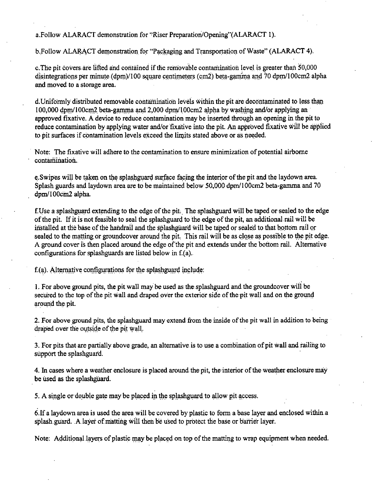a.Follow ALARACT demonstration for ''Riser Preparatiori/Opening"(ALARACT 1).

b.Follow ALARACT demonstration for "Packaging and Transportation of Waste" (ALARACT 4).

c. The pit covers are lifted and contained if the removable contamination level is greater than 50,000 disintegrations per minute ( dpm)/100 square centimeters ( cm2) beta-gamma and 70 dpm/100cm2 alpha and moved to a storage area.

d. Uniformly distributed removable contamination levels within the pit are decontaminated to less than 100,000 dpm/100cm2 beta-gamma and  $2,000$  dpm/100cm2 alpha by washing and/or applying an approved fixative. A device to reduce contamination may be inserted through an opening in the pit to reduce contamination by applying water and/or fixative into the pit. An approved fixative will be applied to pit surfaces if contamination levels exceed the limits stated above or as needed.

Note: The fixative will adhere to the contamination to ensure minimization of potential airborne contamination.

e. Swipes will be taken on the splashguard surface facing the interior of the pit and the laydown area. Splash guards and laydown area are to be maintained below 50,000 dpm/100cm2 beta-gamma and 70 dpm/100cm2 alpha.

f.Use a splashguard extending to the edge of the pit. The splashguard will be taped or sealed to the edge of the pit. If it is not feasible to seal the splashguarg to the edge of the pit, an additional.rail will be installed at the base of the handrail and the splashguard will be taped or sealed to that bottom rail or sealed to the matting or groundcover around the pit. This rail will be as close as possible to the pit edge. A ground cover is then placed around the edge of the pit and extends under the bottom rail. Alternative configurations for splashguards are listed below in f.(a).

f.(a). Alternative configurations for the splash guard include:

1. For above ground pits, the pit wall may be used as the splashguard and the groundcover will be secured to the top of the pit wall and draped over the exterior side of the pit wall and on the ground around the pit.

2. For above ground pits, the spiashguard may extend from the inside of the pit wall in addition to being draped over the outside of the pit wall.

3. For pits that are partially above grade, an alternative.is to use a combination of pit wall and.railing to support the splashguard.

4. In cases where a weather enclosure is placed around the pit, the interior of the weather enclosure may be used as the splashguard.

5. A single or double gate may be placed in the splashguard to allow pit access.

6.lf a laydown area is used the area will be covered by plastic to form a base layer and enclosed within a splash guard. A layer of matting will then be used to protect the base or barrier layer.

Note: Additional layers of plastic may be placed on top of the matting to wrap equipment when needed.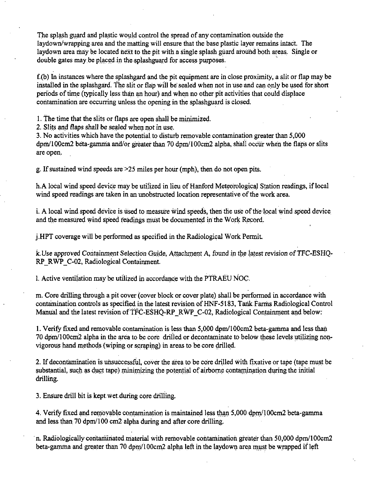The splash guard and plastic would control the spread of any contamination outside the laydown/wrapping area and the matting will ensure that the base plastic layer remains intact. The laydown area may be located next to the pit with a single splash guard around both areas. Single or double gates may be placed in the splashguard for access purposes.

f.(b) In instances where the splashgard and the pit equipmentare in close proximity, a slit or flap may be installed in the splashgard. The slit or flap will be sealed when not in use and can only be used for short periods of time (typically less than an hour) and when no other pit activities that could displace contamination are occurring unless the opening in the splashguard is closed.

I. The time that the slits or flaps are open shall be minimized.

2. Slits and flaps shall be sealed when not in use.

3. No activities which have the potential to disturb removable contamination greater than 5,000 dpm/100cm2 beta-gamnia and/or greater than 70 dpm/100cm2 alpha, shail occur when the flaps or slits are open.

g. If sustained wind speeds are >25 miles per hour (mph), then do not open pits.

h.A local wind speed device may be utilized in lieu of Hanford Meteorological Station readings, if local wind speed readings are taken in an unobstructed location representative of the work area.

i. A local wind speed device is used to measure wind speeds, then the use of the local wind speed device. and the measured wind speed readings must be documented in the Work Record.

j.HPT coverage will be performed as specified in the Radiological Work Permit

k. Use approved Containment Selection Guide, Attachment A, found in the latest revision of TFC-ESHQ-RP\_RWP\_C-02, Radiological Containment.

I. Active ventilation may be utilized in accordance with the PTRAEU NOC.

m. Core drilling through a pit cover (cover block or cover plate) shall be performed in accordance with contamination controls as specified in the latest revision of HNF-5183, Tarik Farms Radiological Control Manual and the latest revision of TFC-ESHQ-RP RWP C-02, Radiological Containment and below:

1. Verify fixed and removable contamination is less than 5,000 dpm/100cm2 beta-gamma and less than 70 dpm/100cm2 alpha in the area to be core drilled or decontaminate to below these levels utilizing nonvigorous hand methods (wiping or scraping) in areas to be core drilled.

2. If decontamination is unsuccessful, cover the area to be core drilled with fixative or tape (tape must be substantial, such as duct tape) minimizing the potential of airborne contamination during the initial drilling.

3. Ensure drill bit is kept wet during core drilling.

4. Verify fixed and removable contamination is maintained less than  $5,000$  dpm/100cm2 beta-gamma and less than 70 dpm/100 cm2 alpha during and after core drilling.

· n. Radiologically coritamiriated material with removable contamination greater than 50,000 dpm/100cm2 beta-gamma and greater than 70 dpm/100cm2 alpha left in the laydown area must be wrapped if left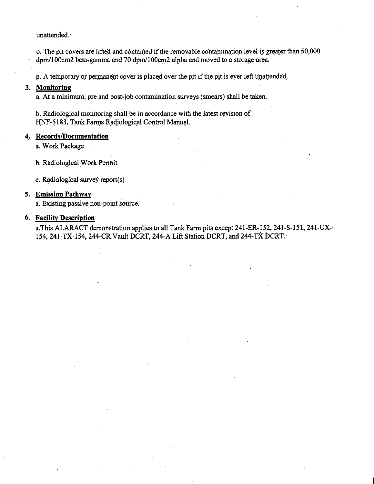unattended.·

o. The pit covers are lifted and contained if the removable contamination level is greater than 50,000 dpm/100cm2 beta-gamma and 70 dpm/100cm2 alpha and moved to a storage area.

p. A temporary or permanent cover is placed over the pit if the pit is ever left unattended.

### **3. Monitoring**

a. At a minimum, pre and post-job contamination surveys (smears) shall be taken.

b. Radiological monitoring shall be in accordance with the latest revision of ~F-5183, Tank Farms Raqiologic\_al Control Manual.

# **4., Records/Documentation**

a. Work Package

b. Radiological Work Permit

c. Radiological survey report(s)

# **5. Emission Pathway**

a. Existing passive non-point source.

# **6. Facility Description**

a.This ALARACT demonstration applies to all Tank Farm pits except 241-ER-152, 241-S-151, 241-UX-154, 241-TX-154, 244-CR. Vault. DCRT, 244-A Lift Station DCRT, and 244-TX. DCRT.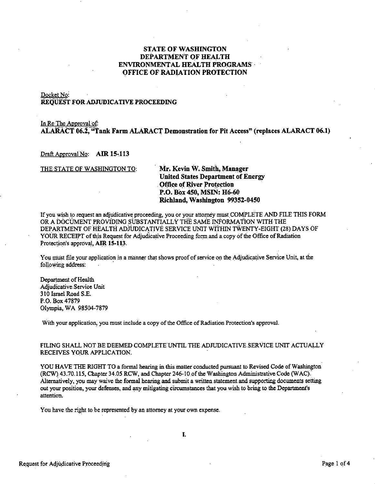### **STATE OF WASHINGTON DEPARTMENT OF HEALTH ENVIRONMENTAL HEALTH PROGRAMS** · **OFFICE OF RADIATION PROTECTION**

#### Docket No: **REQUEST FORADJUDICATIVE PROCEEDING**

#### In Re The Approval of: **AL.ARA.CT 06.2, "Tank Farm ALARACT Demonstration for Pit Access" (replaces ALARACT 06.1)**

#### Draft Approval No: **AIR 15-113**

#### THE STATE OF WASHINGTON TO: **Mr. Kevin W. Smith, Manager**

# **United States Department of Energy Office of River Protection P.O. Box 450, MSIN: H6-60 Richland, Washington 99352-0450**

If you wish to request an adjudicative proceeding, you or your attorney must.COMPLETE AND FILE THIS FORM ORA DOCUMENT PROViDING SUBSTANTIALLY THE SAME INFORMATION WITH THE DEPARTMENT OF HEAL **TH** ADruDICATIVE SERVICE UNIT WITHIN TWENTY-EIGHT (28) DAYS OF YOUR RECEIPT of this Request for Adjudicative Proceeding form and a.copy of the Office of Radiation Protection's approval, AIR 15-113.

You must file your application in a manner that shows proof of service on the Adjudicative Service Unit, at the following address:

Department of Health Adjudicative Service Unit 310 Israel Road S.E. P.O. Box 47879 Olympia, WA 98504-7879

With your application, you must include a copy of the Office of Radiation Protection's approval.

#### FILING SHALL NOT BE DEEMED COMPLETE UNTIL THE ADJUDICATIVE SERVICE UNIT ACTUALLY RECEIVES YOUR APPLICATION.

YOU HAVE THE RIGHT TO a formal hearing in this matter conducted pursuant to Revised Code of Washington (RCW)43.70.115, Chapter 34.05 RCW, and Chapter 246-10 of the Washington Administrative Code (WAC).' Alternatively, you may waive the formal hearing and submit a written statement and supporting documents setting out your position, your defenses, and any mitigating circumstances that you wish to bring to the Department's attention.

You have the right to be represented by an attorney at your own expense.

**I.** 

Request for Adjudicative Proceeding examples and the example of the example of the example of the example of the example of the example of the example of the example of the example of the example of the example of the exam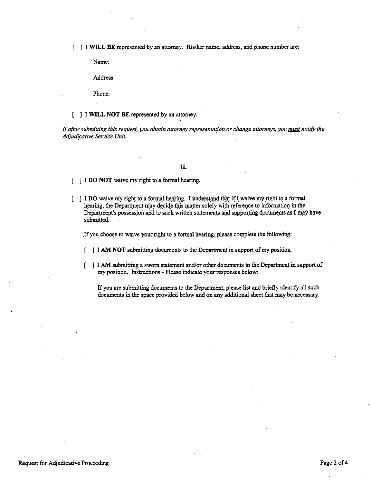[ ] I **WILL BE** represented by an attorney. His/her name, address, and phone number are:

Name:

Address:

Phone:

#### [ ] I **WILL NOT BE** represented by an attorney.

If *after submitting this request, you obtain attorney representation or change attorneys, you must notify the Adjudicative Service Unit.* 

### **n.**

I **DO NOT** waive my right to a formal hearing.

[ ] I **DO** waive my right to a formal hearing. I understand that if I waive my right to a formal hearing, the Department may decide this matter solely with reference to information in the Department's possession and to such written statements and supporting documents as I may have submitted.

. If you choose to waive your right to a formal hearing, please complete the following:

- [ ] I **AM NOT** submitting documents to the Department in support of my position.
- [ I **AM** submitting a sworn statement and/or other documents to the Department in support of my position. Instructions - Please indicate your responses below:

If you.are.submitting documents to the Department, please list and briefly identify all such documents in the space provided below and on any additional sheet that may be necessary.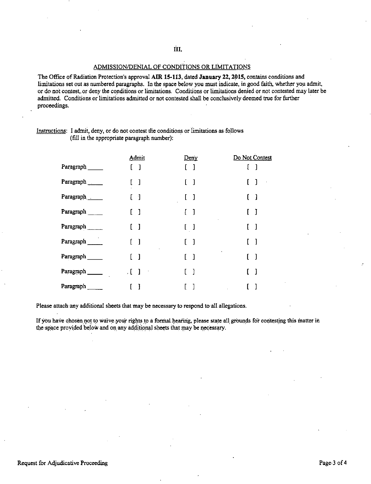ADMISSION/DENIAL OF CONDITIONS OR LIMITATIONS

The Office of Radiation Protection's approval **AIR 15-113,** dated **January 22, 2015,** contains conditions and limitations set out as numbered paragraphs. In the space below you must indicate, in good faith, whether you admit, or do not contest,.or deny the conditions or limitations. Conditions or limitations denied or not contested may later be admitted. Conditions or limitations admitted or not contested shall be conclusively deemed true for further proceedings.

| Instructions: I admit, deny, or do not contest the conditions or limitations as follows |  |
|-----------------------------------------------------------------------------------------|--|
| (fill in the appropriate paragraph number):                                             |  |

|           | Admit                                 | Deny                                  | Do Not Contest                 |
|-----------|---------------------------------------|---------------------------------------|--------------------------------|
| Paragraph | $\mathbf{l}$                          | $\begin{array}{c} \end{array}$<br>E.  | -1                             |
| Paragraph | 1                                     | $\begin{bmatrix} 1 \end{bmatrix}$     | $\begin{array}{c} \end{array}$ |
| Paragraph | ľ                                     | $\begin{bmatrix} 1 & 1 \end{bmatrix}$ | -1                             |
| Paragraph | $\mathbf{I}$<br>ſ.                    | $\begin{bmatrix} 1 \end{bmatrix}$     | I                              |
| Paragraph | J                                     | $\begin{bmatrix} 1 \end{bmatrix}$     | -1                             |
| Paragraph | $\mathbf{1}$                          | $\begin{bmatrix} 1 \end{bmatrix}$     | -1                             |
| Paragraph | $\begin{array}{c} \hline \end{array}$ | $\begin{bmatrix} 1 \end{bmatrix}$     | -1<br>ſ                        |
| Paragraph | $\sqrt{1}$<br>$\mathcal{A}$           | $[\quad]$                             | ſ<br>-1                        |
| Paragraph | 1                                     |                                       |                                |

Please attach any additional sheets that may be necessary to respond to all allegations.

If you have chosen not to waive your rights to a formal hearing, please state all grounds for contesting this matter in the space provided below and on any additional sheets that may be necessary.